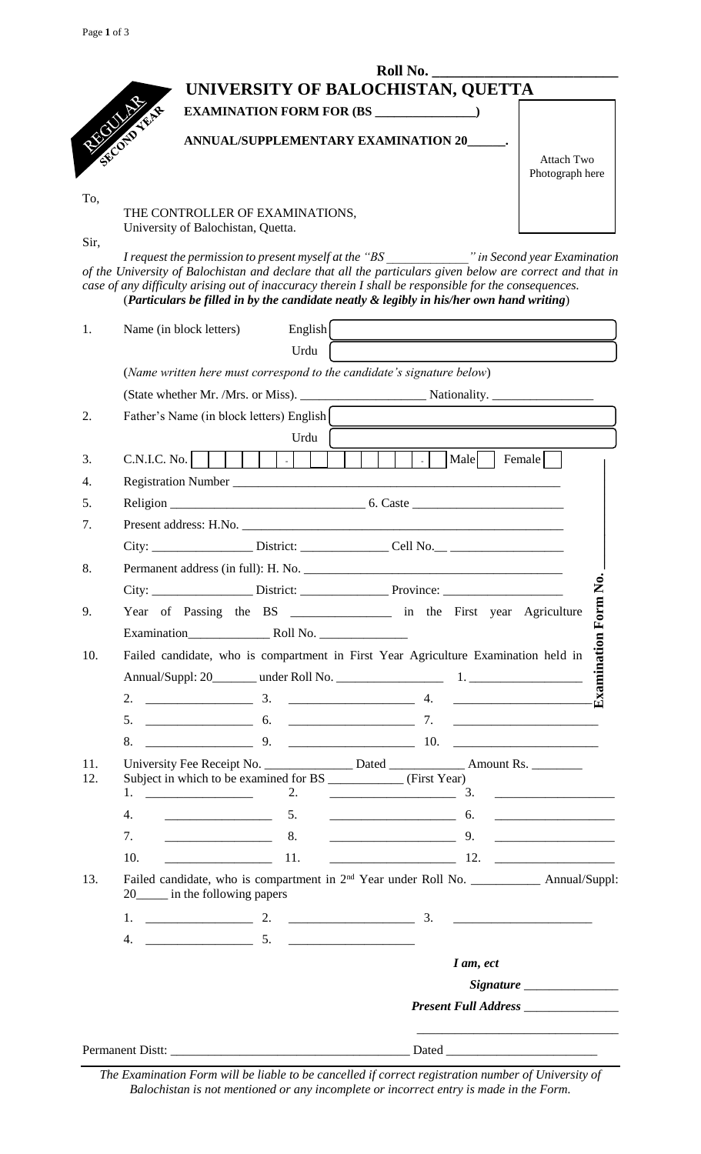| Roll No.<br>UNIVERSITY OF BALOCHISTAN, QUETTA                                  |                                      |  |  |
|--------------------------------------------------------------------------------|--------------------------------------|--|--|
| <b>EXAMINATION FORM FOR (BS)</b><br><b>ANNUAL/SUPPLEMENTARY EXAMINATION 20</b> |                                      |  |  |
|                                                                                | <b>Attach Two</b><br>Photograph here |  |  |
|                                                                                |                                      |  |  |

THE CONTROLLER OF EXAMINATIONS, University of Balochistan, Quetta.

Sir,

To,

*I request the permission to present myself at the "BS \_\_\_\_\_\_\_\_\_\_\_\_\_" in Second year Examination of the University of Balochistan and declare that all the particulars given below are correct and that in case of any difficulty arising out of inaccuracy therein I shall be responsible for the consequences.* (*Particulars be filled in by the candidate neatly & legibly in his/her own hand writing*)

| 1.  | Name (in block letters)                                                                                                                                                                                                                                                                                         | English<br>Urdu |                             |                                         |                                                  |
|-----|-----------------------------------------------------------------------------------------------------------------------------------------------------------------------------------------------------------------------------------------------------------------------------------------------------------------|-----------------|-----------------------------|-----------------------------------------|--------------------------------------------------|
|     | (Name written here must correspond to the candidate's signature below)                                                                                                                                                                                                                                          |                 |                             |                                         |                                                  |
|     |                                                                                                                                                                                                                                                                                                                 |                 |                             |                                         |                                                  |
| 2.  | Father's Name (in block letters) English                                                                                                                                                                                                                                                                        |                 |                             |                                         |                                                  |
|     |                                                                                                                                                                                                                                                                                                                 | Urdu            |                             |                                         |                                                  |
| 3.  | $C.N.I.C. No.$                                                                                                                                                                                                                                                                                                  |                 | 1 1 1 1                     | $\vert \cdot \vert$ Male $\vert$ Female |                                                  |
| 4.  |                                                                                                                                                                                                                                                                                                                 |                 |                             |                                         |                                                  |
| 5.  |                                                                                                                                                                                                                                                                                                                 |                 |                             |                                         |                                                  |
| 7.  |                                                                                                                                                                                                                                                                                                                 |                 |                             |                                         |                                                  |
|     |                                                                                                                                                                                                                                                                                                                 |                 |                             |                                         |                                                  |
| 8.  | Permanent address (in full): H. No.                                                                                                                                                                                                                                                                             |                 |                             |                                         |                                                  |
|     |                                                                                                                                                                                                                                                                                                                 |                 |                             |                                         |                                                  |
| 9.  |                                                                                                                                                                                                                                                                                                                 |                 |                             |                                         |                                                  |
|     |                                                                                                                                                                                                                                                                                                                 |                 |                             |                                         |                                                  |
| 10. |                                                                                                                                                                                                                                                                                                                 |                 |                             |                                         |                                                  |
|     |                                                                                                                                                                                                                                                                                                                 |                 |                             |                                         |                                                  |
|     |                                                                                                                                                                                                                                                                                                                 |                 |                             |                                         |                                                  |
|     | 5.                                                                                                                                                                                                                                                                                                              |                 |                             |                                         |                                                  |
|     | $\frac{9.}{2}$ $\frac{10.}{2}$ $\frac{10.}{2}$ $\frac{10.}{2}$ $\frac{10.}{2}$ $\frac{10.}{2}$ $\frac{10.}{2}$ $\frac{10.}{2}$ $\frac{10.}{2}$ $\frac{10.}{2}$ $\frac{10.}{2}$ $\frac{10.}{2}$ $\frac{10.}{2}$ $\frac{10.}{2}$ $\frac{10.}{2}$ $\frac{10.}{2}$ $\frac{10.}{2}$ $\frac{10.}{2}$ $\frac{10$<br>8. |                 |                             |                                         |                                                  |
| 11. | University Fee Receipt No. ________________ Dated ______________ Amount Rs. _________                                                                                                                                                                                                                           |                 |                             |                                         |                                                  |
| 12. | Subject in which to be examined for BS ____________ (First Year)                                                                                                                                                                                                                                                |                 |                             |                                         |                                                  |
|     | 1.<br><u> 1989 - Johann Harry Harry Harry Harry Harry Harry Harry Harry Harry Harry Harry Harry Harry Harry Harry Harry</u>                                                                                                                                                                                     | 2.              | $\frac{1}{2}$ 3.            |                                         |                                                  |
|     | 4.                                                                                                                                                                                                                                                                                                              | 5.              | $\overline{\phantom{a}}$ 6. |                                         |                                                  |
|     | 7.                                                                                                                                                                                                                                                                                                              | 8.              |                             | 9.                                      | <u> 1980 - Jan Barbara Barbara, manazarta ba</u> |
|     | 10.                                                                                                                                                                                                                                                                                                             | 11.             | $12.$ $12.$                 |                                         |                                                  |
| 13. | Failed candidate, who is compartment in 2 <sup>nd</sup> Year under Roll No. _____________ Annual/Suppl:<br>20 <sub>___</sub> in the following papers                                                                                                                                                            |                 |                             |                                         |                                                  |
|     | 1.                                                                                                                                                                                                                                                                                                              |                 |                             |                                         |                                                  |
|     |                                                                                                                                                                                                                                                                                                                 |                 |                             |                                         |                                                  |
|     |                                                                                                                                                                                                                                                                                                                 |                 |                             | I am, ect                               |                                                  |
|     |                                                                                                                                                                                                                                                                                                                 |                 |                             |                                         |                                                  |
|     |                                                                                                                                                                                                                                                                                                                 |                 |                             |                                         |                                                  |
|     | Permanent Distt:                                                                                                                                                                                                                                                                                                |                 |                             |                                         |                                                  |

*The Examination Form will be liable to be cancelled if correct registration number of University of Balochistan is not mentioned or any incomplete or incorrect entry is made in the Form.*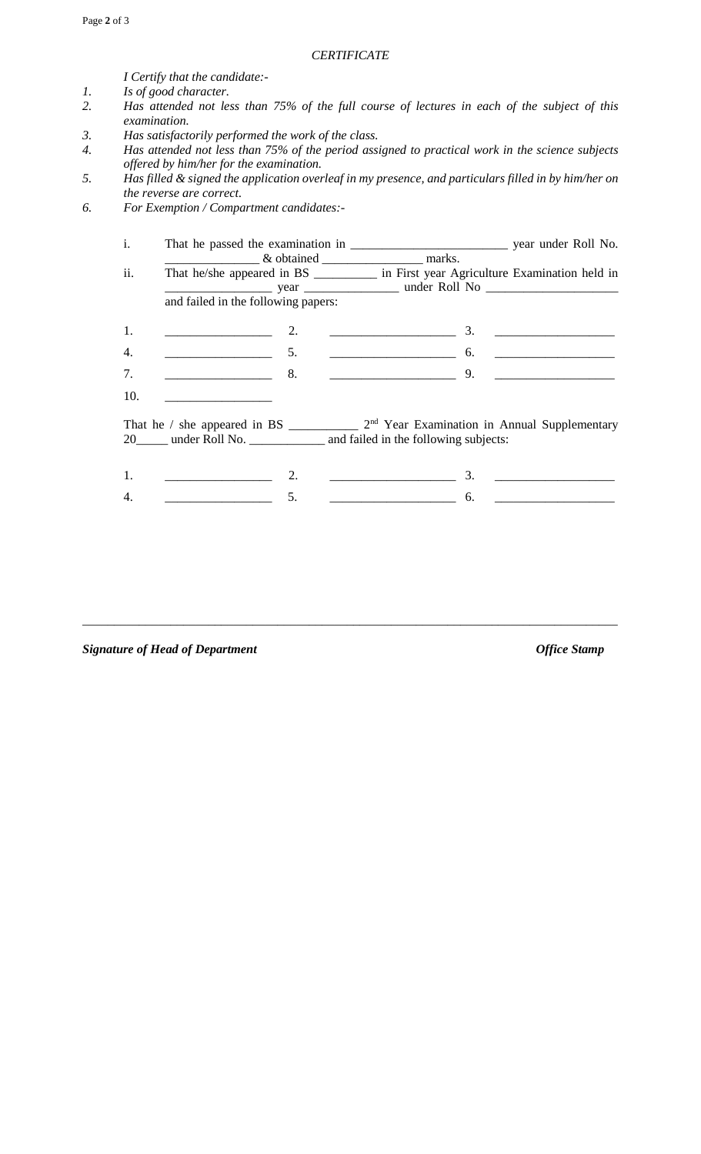#### *CERTIFICATE*

*I Certify that the candidate:-*

- *1. Is of good character.*
- *2. Has attended not less than 75% of the full course of lectures in each of the subject of this examination.*
- *3. Has satisfactorily performed the work of the class.*
- *4. Has attended not less than 75% of the period assigned to practical work in the science subjects offered by him/her for the examination.*
- *5. Has filled & signed the application overleaf in my presence, and particulars filled in by him/her on the reverse are correct.*
- *6. For Exemption / Compartment candidates:-*

| i.  |                                                                                                                                                                                                                                                                                                                                                                                                                                 |                                                                                        |
|-----|---------------------------------------------------------------------------------------------------------------------------------------------------------------------------------------------------------------------------------------------------------------------------------------------------------------------------------------------------------------------------------------------------------------------------------|----------------------------------------------------------------------------------------|
|     | $\sim$ & obtained $\sim$ marks.                                                                                                                                                                                                                                                                                                                                                                                                 |                                                                                        |
| ii. |                                                                                                                                                                                                                                                                                                                                                                                                                                 | That he/she appeared in BS _____________ in First year Agriculture Examination held in |
|     |                                                                                                                                                                                                                                                                                                                                                                                                                                 |                                                                                        |
|     | and failed in the following papers:                                                                                                                                                                                                                                                                                                                                                                                             |                                                                                        |
| 1.  | 2.<br><u> 2000 - Jan James Barnett, fizik eta idazlea (</u>                                                                                                                                                                                                                                                                                                                                                                     |                                                                                        |
| 4.  | $\frac{1}{\sqrt{1-\frac{1}{2}}}\frac{1}{\sqrt{1-\frac{1}{2}}}\frac{1}{\sqrt{1-\frac{1}{2}}}\frac{1}{\sqrt{1-\frac{1}{2}}}\frac{1}{\sqrt{1-\frac{1}{2}}}\frac{1}{\sqrt{1-\frac{1}{2}}}\frac{1}{\sqrt{1-\frac{1}{2}}}\frac{1}{\sqrt{1-\frac{1}{2}}}\frac{1}{\sqrt{1-\frac{1}{2}}}\frac{1}{\sqrt{1-\frac{1}{2}}}\frac{1}{\sqrt{1-\frac{1}{2}}}\frac{1}{\sqrt{1-\frac{1}{2}}}\frac{1}{\sqrt{1-\frac{1}{2}}}\frac{1}{\sqrt{1-\frac{$ | $\overline{\phantom{a}}$ 6.                                                            |
| 7.  | 8.                                                                                                                                                                                                                                                                                                                                                                                                                              | 9.                                                                                     |
| 10. |                                                                                                                                                                                                                                                                                                                                                                                                                                 |                                                                                        |
|     | 20_____ under Roll No. _____________ and failed in the following subjects:                                                                                                                                                                                                                                                                                                                                                      |                                                                                        |
| 1.  | 2.<br><u> 1989 - Johann Harry Harry Harry Harry Harry Harry Harry Harry Harry Harry Harry Harry Harry Harry Harry Harry</u>                                                                                                                                                                                                                                                                                                     |                                                                                        |
| 4.  | 5.                                                                                                                                                                                                                                                                                                                                                                                                                              | 6.                                                                                     |

\_\_\_\_\_\_\_\_\_\_\_\_\_\_\_\_\_\_\_\_\_\_\_\_\_\_\_\_\_\_\_\_\_\_\_\_\_\_\_\_\_\_\_\_\_\_\_\_\_\_\_\_\_\_\_\_\_\_\_\_\_\_\_\_\_\_\_\_\_\_\_\_\_\_\_\_\_\_\_\_\_\_\_\_\_

**Signature of Head of Department Contract Contract Contract Contract Contract Contract Contract Contract Contract Contract Contract Contract Contract Contract Contract Contract Contract Contract Contract Contract Contrac**